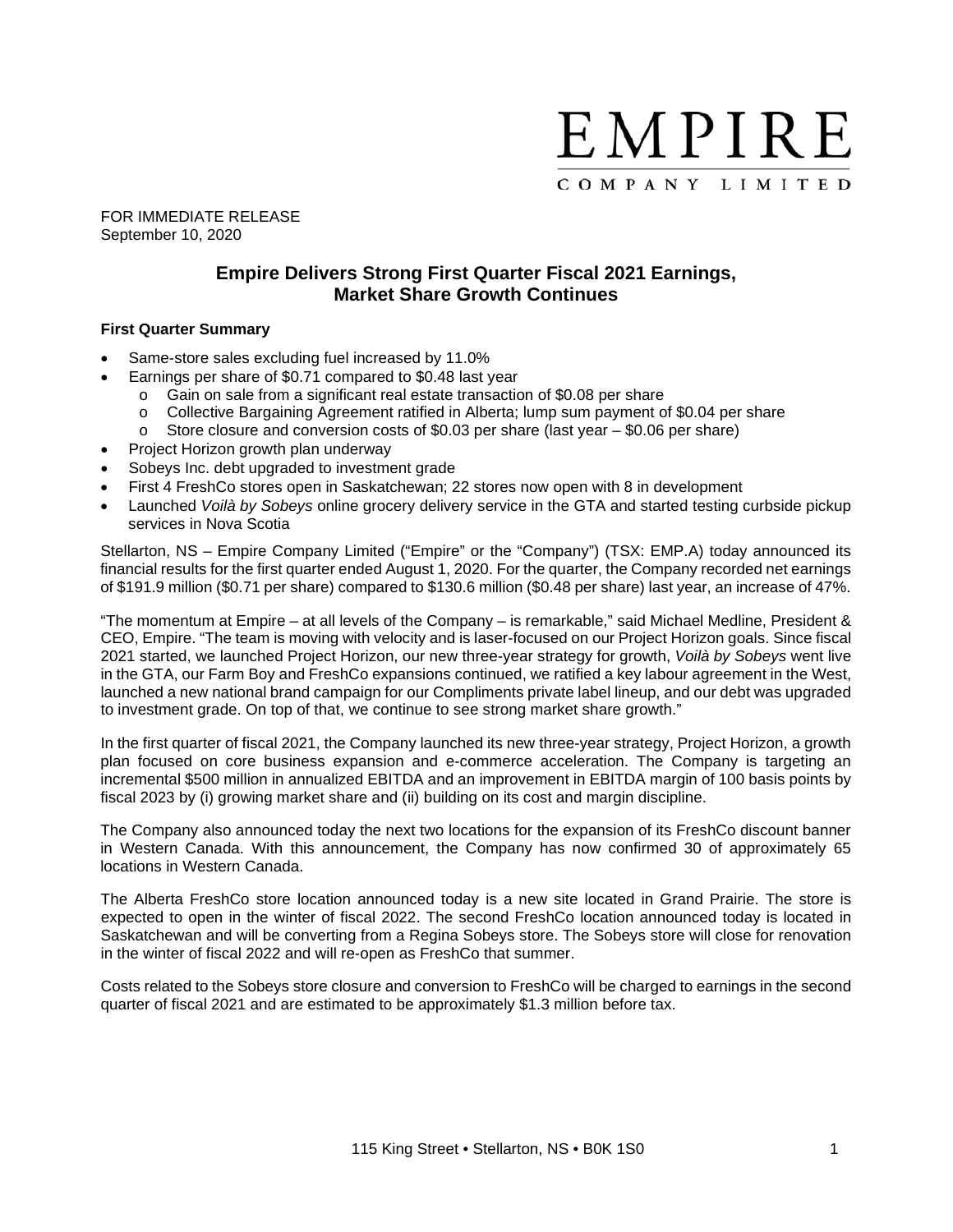

FOR IMMEDIATE RELEASE September 10, 2020

# **Empire Delivers Strong First Quarter Fiscal 2021 Earnings, Market Share Growth Continues**

#### **First Quarter Summary**

- Same-store sales excluding fuel increased by 11.0%
- Earnings per share of \$0.71 compared to \$0.48 last year
	- o Gain on sale from a significant real estate transaction of \$0.08 per share<br>o Collective Bargaining Agreement ratified in Alberta: lump sum payment o
	- Collective Bargaining Agreement ratified in Alberta; lump sum payment of \$0.04 per share
	- $\circ$  Store closure and conversion costs of \$0.03 per share (last year  $-$  \$0.06 per share)
- Project Horizon growth plan underway
- Sobeys Inc. debt upgraded to investment grade
- First 4 FreshCo stores open in Saskatchewan; 22 stores now open with 8 in development
- Launched *Voilà by Sobeys* online grocery delivery service in the GTA and started testing curbside pickup services in Nova Scotia

Stellarton, NS – Empire Company Limited ("Empire" or the "Company") (TSX: EMP.A) today announced its financial results for the first quarter ended August 1, 2020. For the quarter, the Company recorded net earnings of \$191.9 million (\$0.71 per share) compared to \$130.6 million (\$0.48 per share) last year, an increase of 47%.

"The momentum at Empire – at all levels of the Company – is remarkable," said Michael Medline, President & CEO, Empire. "The team is moving with velocity and is laser-focused on our Project Horizon goals. Since fiscal 2021 started, we launched Project Horizon, our new three-year strategy for growth, *Voilà by Sobeys* went live in the GTA, our Farm Boy and FreshCo expansions continued, we ratified a key labour agreement in the West, launched a new national brand campaign for our Compliments private label lineup, and our debt was upgraded to investment grade. On top of that, we continue to see strong market share growth."

In the first quarter of fiscal 2021, the Company launched its new three-year strategy, Project Horizon, a growth plan focused on core business expansion and e-commerce acceleration. The Company is targeting an incremental \$500 million in annualized EBITDA and an improvement in EBITDA margin of 100 basis points by fiscal 2023 by (i) growing market share and (ii) building on its cost and margin discipline.

The Company also announced today the next two locations for the expansion of its FreshCo discount banner in Western Canada. With this announcement, the Company has now confirmed 30 of approximately 65 locations in Western Canada.

The Alberta FreshCo store location announced today is a new site located in Grand Prairie. The store is expected to open in the winter of fiscal 2022. The second FreshCo location announced today is located in Saskatchewan and will be converting from a Regina Sobeys store. The Sobeys store will close for renovation in the winter of fiscal 2022 and will re-open as FreshCo that summer.

Costs related to the Sobeys store closure and conversion to FreshCo will be charged to earnings in the second quarter of fiscal 2021 and are estimated to be approximately \$1.3 million before tax.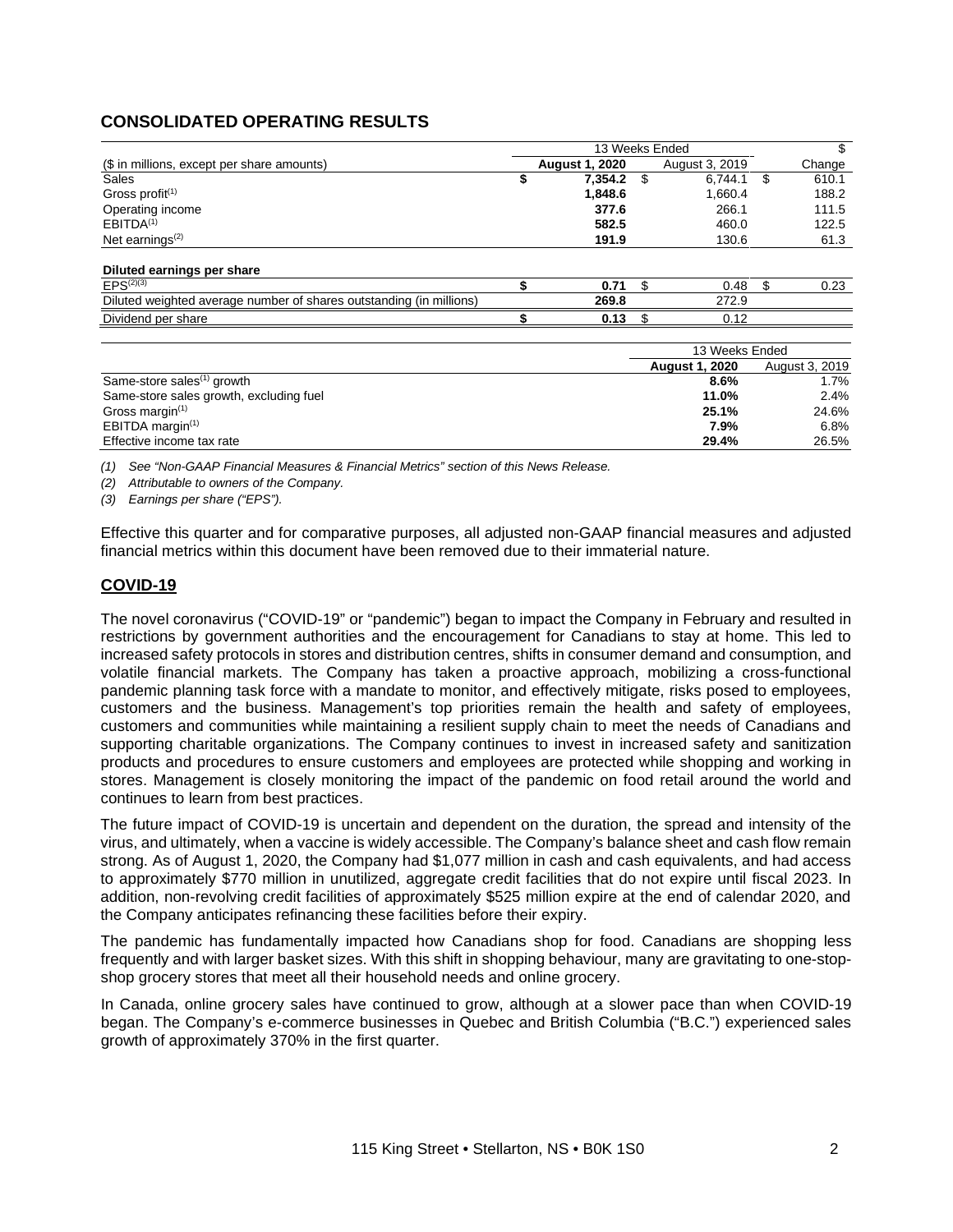# **CONSOLIDATED OPERATING RESULTS**

|                                                                     |    |                       | 13 Weeks Ended |                |    |        |
|---------------------------------------------------------------------|----|-----------------------|----------------|----------------|----|--------|
| (\$ in millions, except per share amounts)                          |    | <b>August 1, 2020</b> |                | August 3, 2019 |    | Change |
| Sales                                                               | \$ | $7,354.2$ \$          |                | 6.744.1        | \$ | 610.1  |
| Gross profit $(1)$                                                  |    | 1,848.6               |                | 1,660.4        |    | 188.2  |
| Operating income                                                    |    | 377.6                 |                | 266.1          |    | 111.5  |
| EBITDA <sup>(1)</sup>                                               |    | 582.5                 |                | 460.0          |    | 122.5  |
| Net earnings $(2)$                                                  |    | 191.9                 |                | 130.6          |    | 61.3   |
| Diluted earnings per share                                          |    |                       |                |                |    |        |
| $EPS^{(2)(3)}$                                                      |    | 0.71                  |                | 0.48           | S  | 0.23   |
| Diluted weighted average number of shares outstanding (in millions) |    | 269.8                 |                | 272.9          |    |        |
| Dividend per share                                                  |    | 0.13                  |                | 0.12           |    |        |
|                                                                     |    |                       |                |                |    |        |

|                                         | 13 Weeks Ended        |                |  |
|-----------------------------------------|-----------------------|----------------|--|
|                                         | <b>August 1, 2020</b> | August 3, 2019 |  |
| Same-store sales <sup>(1)</sup> growth  | 8.6%                  | 1.7%           |  |
| Same-store sales growth, excluding fuel | 11.0%                 | 2.4%           |  |
| Gross margin $(1)$                      | 25.1%                 | 24.6%          |  |
| EBITDA margin $(1)$                     | 7.9%                  | 6.8%           |  |
| Effective income tax rate               | 29.4%                 | 26.5%          |  |

*(1) See "Non-GAAP Financial Measures & Financial Metrics" section of this News Release.*

*(2) Attributable to owners of the Company.*

*(3) Earnings per share ("EPS").*

Effective this quarter and for comparative purposes, all adjusted non-GAAP financial measures and adjusted financial metrics within this document have been removed due to their immaterial nature.

## **COVID-19**

The novel coronavirus ("COVID-19" or "pandemic") began to impact the Company in February and resulted in restrictions by government authorities and the encouragement for Canadians to stay at home. This led to increased safety protocols in stores and distribution centres, shifts in consumer demand and consumption, and volatile financial markets. The Company has taken a proactive approach, mobilizing a cross-functional pandemic planning task force with a mandate to monitor, and effectively mitigate, risks posed to employees, customers and the business. Management's top priorities remain the health and safety of employees, customers and communities while maintaining a resilient supply chain to meet the needs of Canadians and supporting charitable organizations. The Company continues to invest in increased safety and sanitization products and procedures to ensure customers and employees are protected while shopping and working in stores. Management is closely monitoring the impact of the pandemic on food retail around the world and continues to learn from best practices.

The future impact of COVID-19 is uncertain and dependent on the duration, the spread and intensity of the virus, and ultimately, when a vaccine is widely accessible. The Company's balance sheet and cash flow remain strong. As of August 1, 2020, the Company had \$1,077 million in cash and cash equivalents, and had access to approximately \$770 million in unutilized, aggregate credit facilities that do not expire until fiscal 2023. In addition, non-revolving credit facilities of approximately \$525 million expire at the end of calendar 2020, and the Company anticipates refinancing these facilities before their expiry.

The pandemic has fundamentally impacted how Canadians shop for food. Canadians are shopping less frequently and with larger basket sizes. With this shift in shopping behaviour, many are gravitating to one-stopshop grocery stores that meet all their household needs and online grocery.

In Canada, online grocery sales have continued to grow, although at a slower pace than when COVID-19 began. The Company's e-commerce businesses in Quebec and British Columbia ("B.C.") experienced sales growth of approximately 370% in the first quarter.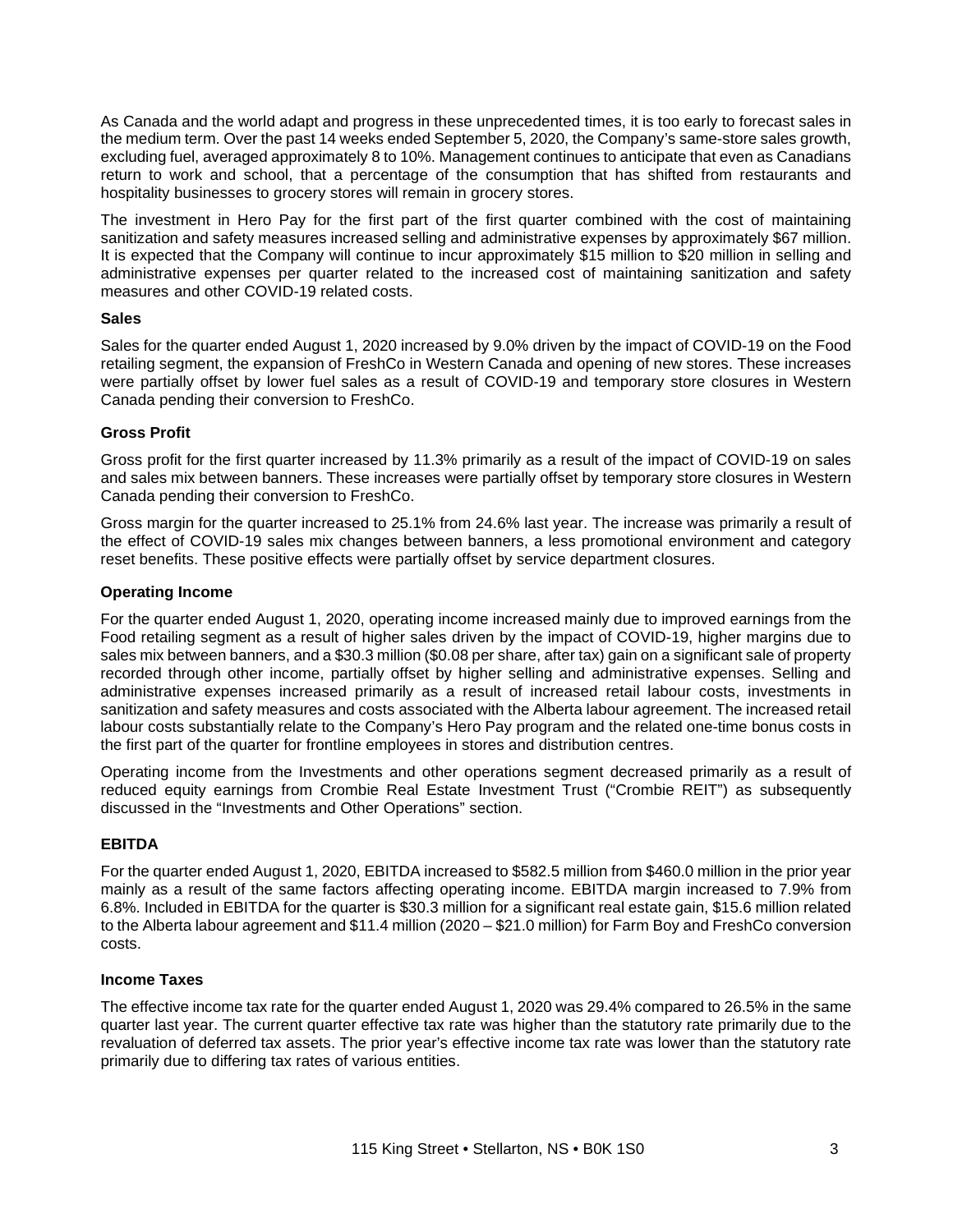As Canada and the world adapt and progress in these unprecedented times, it is too early to forecast sales in the medium term. Over the past 14 weeks ended September 5, 2020, the Company's same-store sales growth, excluding fuel, averaged approximately 8 to 10%. Management continues to anticipate that even as Canadians return to work and school, that a percentage of the consumption that has shifted from restaurants and hospitality businesses to grocery stores will remain in grocery stores.

The investment in Hero Pay for the first part of the first quarter combined with the cost of maintaining sanitization and safety measures increased selling and administrative expenses by approximately \$67 million. It is expected that the Company will continue to incur approximately \$15 million to \$20 million in selling and administrative expenses per quarter related to the increased cost of maintaining sanitization and safety measures and other COVID-19 related costs.

### **Sales**

Sales for the quarter ended August 1, 2020 increased by 9.0% driven by the impact of COVID-19 on the Food retailing segment, the expansion of FreshCo in Western Canada and opening of new stores. These increases were partially offset by lower fuel sales as a result of COVID-19 and temporary store closures in Western Canada pending their conversion to FreshCo.

### **Gross Profit**

Gross profit for the first quarter increased by 11.3% primarily as a result of the impact of COVID-19 on sales and sales mix between banners. These increases were partially offset by temporary store closures in Western Canada pending their conversion to FreshCo.

Gross margin for the quarter increased to 25.1% from 24.6% last year. The increase was primarily a result of the effect of COVID-19 sales mix changes between banners, a less promotional environment and category reset benefits. These positive effects were partially offset by service department closures.

### **Operating Income**

For the quarter ended August 1, 2020, operating income increased mainly due to improved earnings from the Food retailing segment as a result of higher sales driven by the impact of COVID-19, higher margins due to sales mix between banners, and a \$30.3 million (\$0.08 per share, after tax) gain on a significant sale of property recorded through other income, partially offset by higher selling and administrative expenses. Selling and administrative expenses increased primarily as a result of increased retail labour costs, investments in sanitization and safety measures and costs associated with the Alberta labour agreement. The increased retail labour costs substantially relate to the Company's Hero Pay program and the related one-time bonus costs in the first part of the quarter for frontline employees in stores and distribution centres.

Operating income from the Investments and other operations segment decreased primarily as a result of reduced equity earnings from Crombie Real Estate Investment Trust ("Crombie REIT") as subsequently discussed in the "Investments and Other Operations" section.

## **EBITDA**

For the quarter ended August 1, 2020, EBITDA increased to \$582.5 million from \$460.0 million in the prior year mainly as a result of the same factors affecting operating income. EBITDA margin increased to 7.9% from 6.8%. Included in EBITDA for the quarter is \$30.3 million for a significant real estate gain, \$15.6 million related to the Alberta labour agreement and \$11.4 million (2020 – \$21.0 million) for Farm Boy and FreshCo conversion costs.

#### **Income Taxes**

The effective income tax rate for the quarter ended August 1, 2020 was 29.4% compared to 26.5% in the same quarter last year. The current quarter effective tax rate was higher than the statutory rate primarily due to the revaluation of deferred tax assets. The prior year's effective income tax rate was lower than the statutory rate primarily due to differing tax rates of various entities.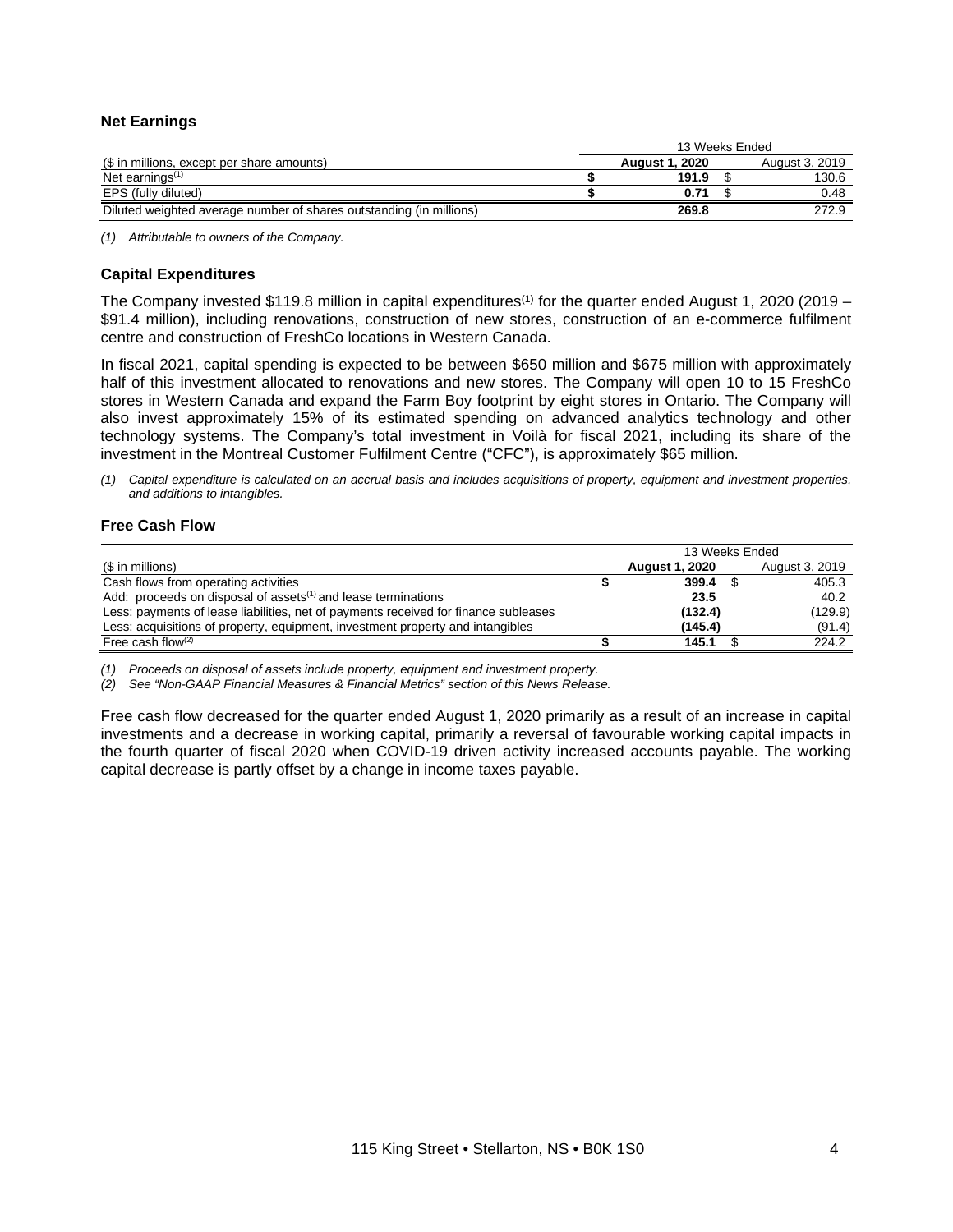#### **Net Earnings**

|                                                                     | 13 Weeks Ended |                       |  |                |
|---------------------------------------------------------------------|----------------|-----------------------|--|----------------|
| (\$ in millions, except per share amounts)                          |                | <b>August 1, 2020</b> |  | August 3, 2019 |
| Net earnings $(1)$                                                  |                | 191.9                 |  | 130.6          |
| EPS (fully diluted)                                                 |                |                       |  | 0.48           |
| Diluted weighted average number of shares outstanding (in millions) |                | 269.8                 |  | 272.9          |

*(1) Attributable to owners of the Company.*

#### **Capital Expenditures**

The Company invested \$119.8 million in capital expenditures<sup>(1)</sup> for the quarter ended August 1, 2020 (2019 – \$91.4 million), including renovations, construction of new stores, construction of an e-commerce fulfilment centre and construction of FreshCo locations in Western Canada.

In fiscal 2021, capital spending is expected to be between \$650 million and \$675 million with approximately half of this investment allocated to renovations and new stores. The Company will open 10 to 15 FreshCo stores in Western Canada and expand the Farm Boy footprint by eight stores in Ontario. The Company will also invest approximately 15% of its estimated spending on advanced analytics technology and other technology systems. The Company's total investment in Voilà for fiscal 2021, including its share of the investment in the Montreal Customer Fulfilment Centre ("CFC"), is approximately \$65 million.

(1) Capital expenditure is calculated on an accrual basis and includes acquisitions of property, equipment and investment properties, *and additions to intangibles.*

### **Free Cash Flow**

|                                                                                     | 13 Weeks Ended |                       |  |                |
|-------------------------------------------------------------------------------------|----------------|-----------------------|--|----------------|
| (\$ in millions)                                                                    |                | <b>August 1, 2020</b> |  | August 3, 2019 |
| Cash flows from operating activities                                                |                | 399.4                 |  | 405.3          |
| Add: proceeds on disposal of assets <sup>(1)</sup> and lease terminations           |                | 23.5                  |  | 40.2           |
| Less: payments of lease liabilities, net of payments received for finance subleases |                | (132.4)               |  | (129.9)        |
| Less: acquisitions of property, equipment, investment property and intangibles      |                | (145.4)               |  | (91.4)         |
| Free cash flow $(2)$                                                                |                | 145.1                 |  | 224.2          |

*(1) Proceeds on disposal of assets include property, equipment and investment property.*

*(2) See "Non-GAAP Financial Measures & Financial Metrics" section of this News Release.*

Free cash flow decreased for the quarter ended August 1, 2020 primarily as a result of an increase in capital investments and a decrease in working capital, primarily a reversal of favourable working capital impacts in the fourth quarter of fiscal 2020 when COVID-19 driven activity increased accounts payable. The working capital decrease is partly offset by a change in income taxes payable.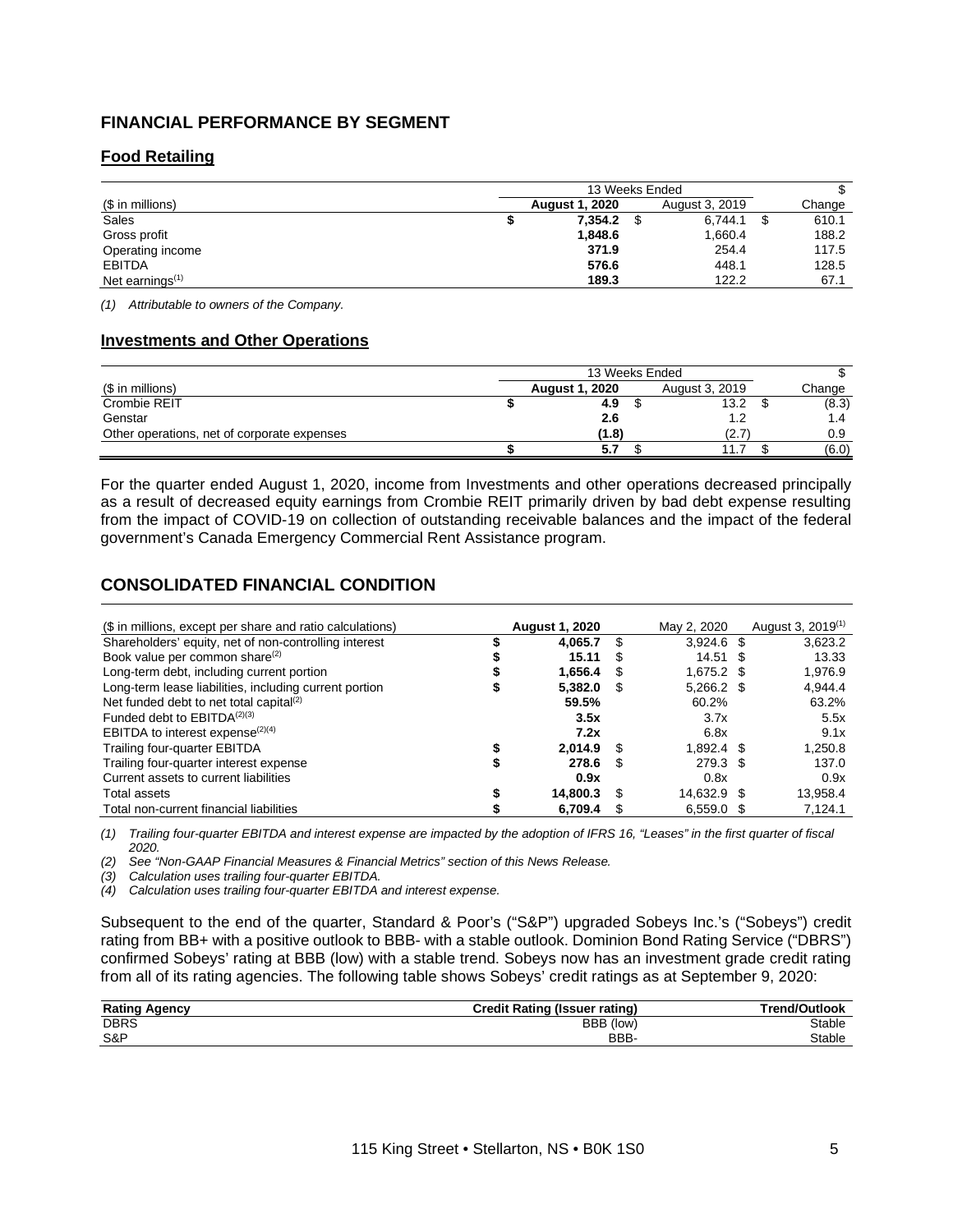# **FINANCIAL PERFORMANCE BY SEGMENT**

# **Food Retailing**

|                             | 13 Weeks Ended |                       |  |                |   |        |
|-----------------------------|----------------|-----------------------|--|----------------|---|--------|
| (\$ in millions)            |                | <b>August 1, 2020</b> |  | August 3, 2019 |   | Change |
| Sales                       |                | 7.354.2               |  | 6.744.1        | S | 610.1  |
| Gross profit                |                | 1,848.6               |  | 1,660.4        |   | 188.2  |
| Operating income            |                | 371.9                 |  | 254.4          |   | 117.5  |
| <b>EBITDA</b>               |                | 576.6                 |  | 448.1          |   | 128.5  |
| Net earnings <sup>(1)</sup> |                | 189.3                 |  | 122.2          |   | 67.1   |

*(1) Attributable to owners of the Company.*

#### **Investments and Other Operations**

|                                             | 13 Weeks Ended |                       |  |                |        |
|---------------------------------------------|----------------|-----------------------|--|----------------|--------|
| (\$ in millions)                            |                | <b>August 1, 2020</b> |  | August 3, 2019 | Change |
| Crombie REIT                                |                | 4.9                   |  | 13.2           | (8.3)  |
| Genstar                                     |                | 2.6                   |  |                | 1.4    |
| Other operations, net of corporate expenses |                | (1.8)                 |  | (2.7)          | 0.9    |
|                                             |                | 5.7                   |  | 11<br>.        | (6.0)  |

For the quarter ended August 1, 2020, income from Investments and other operations decreased principally as a result of decreased equity earnings from Crombie REIT primarily driven by bad debt expense resulting from the impact of COVID-19 on collection of outstanding receivable balances and the impact of the federal government's Canada Emergency Commercial Rent Assistance program.

# **CONSOLIDATED FINANCIAL CONDITION**

| (\$ in millions, except per share and ratio calculations) | <b>August 1, 2020</b> |      | May 2, 2020  | August 3, 2019 <sup>(1)</sup> |
|-----------------------------------------------------------|-----------------------|------|--------------|-------------------------------|
| Shareholders' equity, net of non-controlling interest     | 4.065.7               | \$.  | $3.924.6$ \$ | 3,623.2                       |
| Book value per common share <sup>(2)</sup>                | 15.11                 | S    | $14.51$ \$   | 13.33                         |
| Long-term debt, including current portion                 | 1.656.4               | £.   | $1.675.2$ \$ | 1,976.9                       |
| Long-term lease liabilities, including current portion    | 5,382.0               | -S   | $5,266.2$ \$ | 4,944.4                       |
| Net funded debt to net total capital <sup>(2)</sup>       | 59.5%                 |      | 60.2%        | 63.2%                         |
| Funded debt to $EBITDA(2)(3)$                             | 3.5x                  |      | 3.7x         | 5.5x                          |
| EBITDA to interest expense $(2)(4)$                       | 7.2x                  |      | 6.8x         | 9.1x                          |
| Trailing four-quarter EBITDA                              | 2,014.9               | - \$ | $1,892.4$ \$ | 1,250.8                       |
| Trailing four-quarter interest expense                    | 278.6                 | -S   | 279.3 \$     | 137.0                         |
| Current assets to current liabilities                     | 0.9x                  |      | 0.8x         | 0.9x                          |
| Total assets                                              | 14.800.3              | \$.  | 14.632.9 \$  | 13.958.4                      |
| Total non-current financial liabilities                   | 6.709.4               |      | $6.559.0$ \$ | 7.124.1                       |

(1) Trailing four-quarter EBITDA and interest expense are impacted by the adoption of IFRS 16, "Leases" in the first quarter of fiscal *2020.*

*(2) See "Non-GAAP Financial Measures & Financial Metrics" section of this News Release.*

*(3) Calculation uses trailing four-quarter EBITDA.*

*(4) Calculation uses trailing four-quarter EBITDA and interest expense.*

Subsequent to the end of the quarter, Standard & Poor's ("S&P") upgraded Sobeys Inc.'s ("Sobeys") credit rating from BB+ with a positive outlook to BBB- with a stable outlook. Dominion Bond Rating Service ("DBRS") confirmed Sobeys' rating at BBB (low) with a stable trend. Sobeys now has an investment grade credit rating from all of its rating agencies. The following table shows Sobeys' credit ratings as at September 9, 2020:

| <b>Rating Agency</b> | <b>Credit Rating (Issuer rating)</b> | Trend/Outlook |
|----------------------|--------------------------------------|---------------|
| <b>DBRS</b>          | BBB (low)                            | Stable        |
| S&P                  | BBB-                                 | Stable        |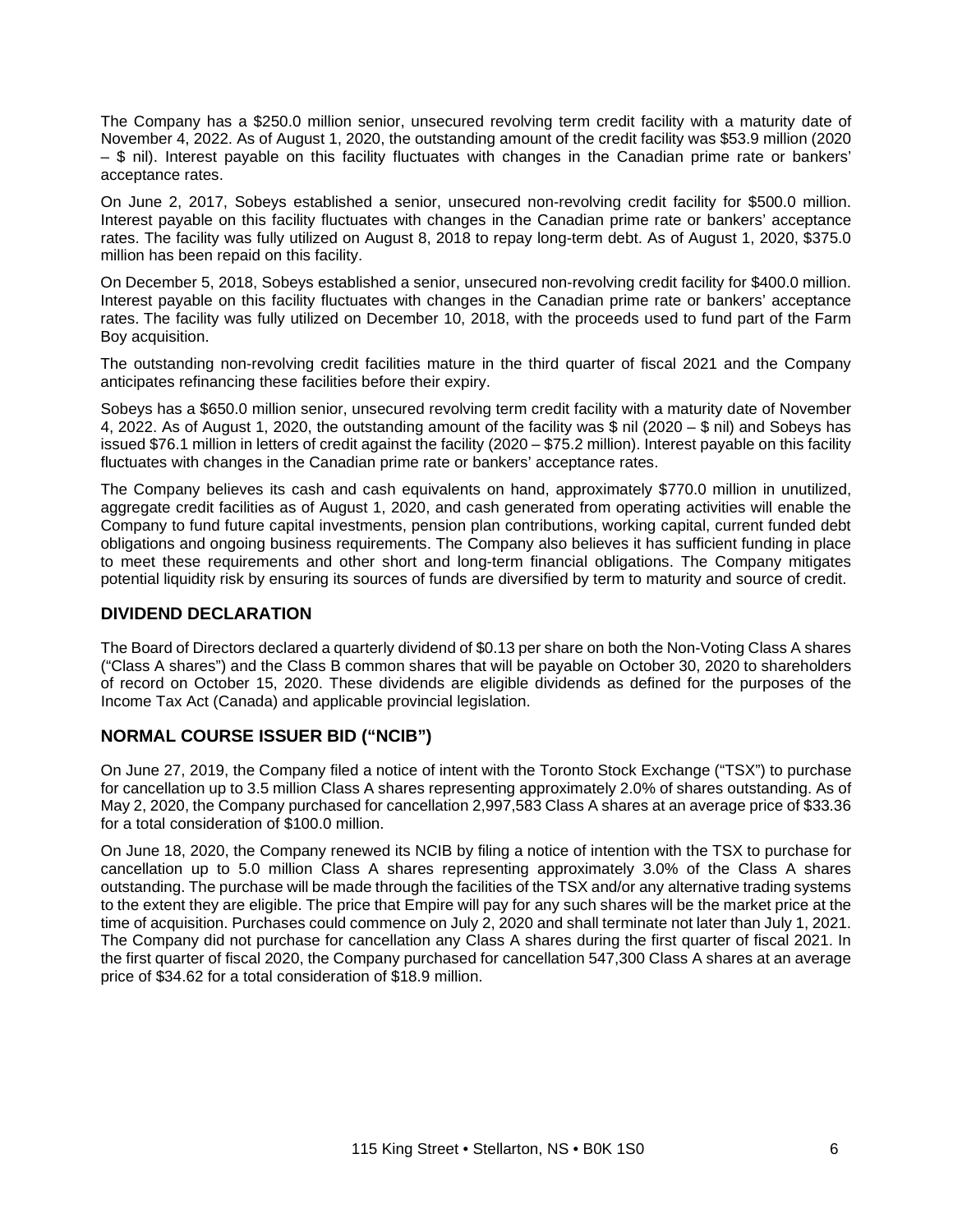The Company has a \$250.0 million senior, unsecured revolving term credit facility with a maturity date of November 4, 2022. As of August 1, 2020, the outstanding amount of the credit facility was \$53.9 million (2020 – \$ nil). Interest payable on this facility fluctuates with changes in the Canadian prime rate or bankers' acceptance rates.

On June 2, 2017, Sobeys established a senior, unsecured non-revolving credit facility for \$500.0 million. Interest payable on this facility fluctuates with changes in the Canadian prime rate or bankers' acceptance rates. The facility was fully utilized on August 8, 2018 to repay long-term debt. As of August 1, 2020, \$375.0 million has been repaid on this facility.

On December 5, 2018, Sobeys established a senior, unsecured non-revolving credit facility for \$400.0 million. Interest payable on this facility fluctuates with changes in the Canadian prime rate or bankers' acceptance rates. The facility was fully utilized on December 10, 2018, with the proceeds used to fund part of the Farm Boy acquisition.

The outstanding non-revolving credit facilities mature in the third quarter of fiscal 2021 and the Company anticipates refinancing these facilities before their expiry.

Sobeys has a \$650.0 million senior, unsecured revolving term credit facility with a maturity date of November 4, 2022. As of August 1, 2020, the outstanding amount of the facility was \$ nil (2020 – \$ nil) and Sobeys has issued \$76.1 million in letters of credit against the facility (2020 – \$75.2 million). Interest payable on this facility fluctuates with changes in the Canadian prime rate or bankers' acceptance rates.

The Company believes its cash and cash equivalents on hand, approximately \$770.0 million in unutilized, aggregate credit facilities as of August 1, 2020, and cash generated from operating activities will enable the Company to fund future capital investments, pension plan contributions, working capital, current funded debt obligations and ongoing business requirements. The Company also believes it has sufficient funding in place to meet these requirements and other short and long-term financial obligations. The Company mitigates potential liquidity risk by ensuring its sources of funds are diversified by term to maturity and source of credit.

# **DIVIDEND DECLARATION**

The Board of Directors declared a quarterly dividend of \$0.13 per share on both the Non-Voting Class A shares ("Class A shares") and the Class B common shares that will be payable on October 30, 2020 to shareholders of record on October 15, 2020. These dividends are eligible dividends as defined for the purposes of the Income Tax Act (Canada) and applicable provincial legislation.

# **NORMAL COURSE ISSUER BID ("NCIB")**

On June 27, 2019, the Company filed a notice of intent with the Toronto Stock Exchange ("TSX") to purchase for cancellation up to 3.5 million Class A shares representing approximately 2.0% of shares outstanding. As of May 2, 2020, the Company purchased for cancellation 2,997,583 Class A shares at an average price of \$33.36 for a total consideration of \$100.0 million.

On June 18, 2020, the Company renewed its NCIB by filing a notice of intention with the TSX to purchase for cancellation up to 5.0 million Class A shares representing approximately 3.0% of the Class A shares outstanding. The purchase will be made through the facilities of the TSX and/or any alternative trading systems to the extent they are eligible. The price that Empire will pay for any such shares will be the market price at the time of acquisition. Purchases could commence on July 2, 2020 and shall terminate not later than July 1, 2021. The Company did not purchase for cancellation any Class A shares during the first quarter of fiscal 2021. In the first quarter of fiscal 2020, the Company purchased for cancellation 547,300 Class A shares at an average price of \$34.62 for a total consideration of \$18.9 million.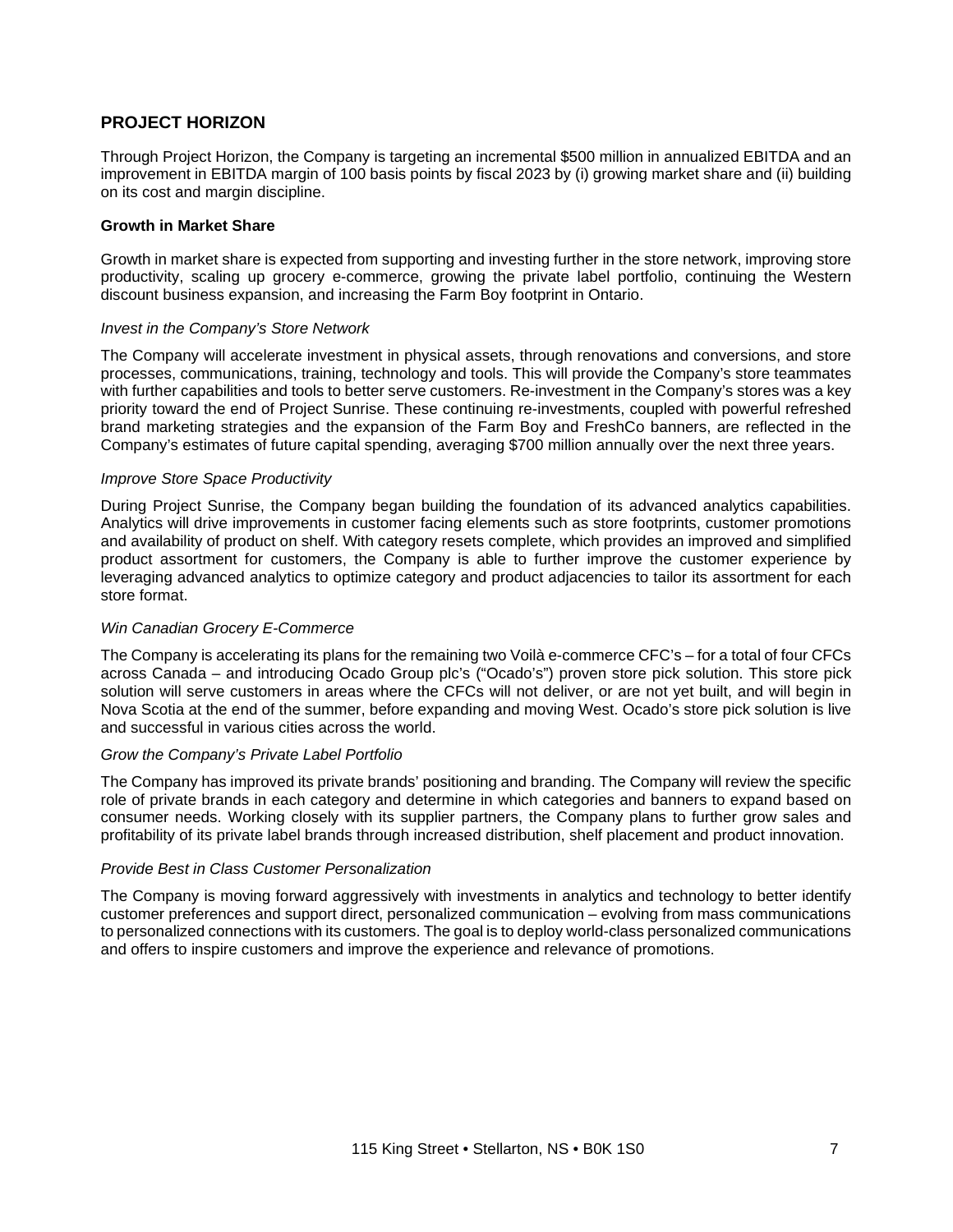# **PROJECT HORIZON**

Through Project Horizon, the Company is targeting an incremental \$500 million in annualized EBITDA and an improvement in EBITDA margin of 100 basis points by fiscal 2023 by (i) growing market share and (ii) building on its cost and margin discipline.

#### **Growth in Market Share**

Growth in market share is expected from supporting and investing further in the store network, improving store productivity, scaling up grocery e-commerce, growing the private label portfolio, continuing the Western discount business expansion, and increasing the Farm Boy footprint in Ontario.

#### *Invest in the Company's Store Network*

The Company will accelerate investment in physical assets, through renovations and conversions, and store processes, communications, training, technology and tools. This will provide the Company's store teammates with further capabilities and tools to better serve customers. Re-investment in the Company's stores was a key priority toward the end of Project Sunrise. These continuing re-investments, coupled with powerful refreshed brand marketing strategies and the expansion of the Farm Boy and FreshCo banners, are reflected in the Company's estimates of future capital spending, averaging \$700 million annually over the next three years.

### *Improve Store Space Productivity*

During Project Sunrise, the Company began building the foundation of its advanced analytics capabilities. Analytics will drive improvements in customer facing elements such as store footprints, customer promotions and availability of product on shelf. With category resets complete, which provides an improved and simplified product assortment for customers, the Company is able to further improve the customer experience by leveraging advanced analytics to optimize category and product adjacencies to tailor its assortment for each store format.

#### *Win Canadian Grocery E-Commerce*

The Company is accelerating its plans for the remaining two Voilà e-commerce CFC's – for a total of four CFCs across Canada – and introducing Ocado Group plc's ("Ocado's") proven store pick solution. This store pick solution will serve customers in areas where the CFCs will not deliver, or are not yet built, and will begin in Nova Scotia at the end of the summer, before expanding and moving West. Ocado's store pick solution is live and successful in various cities across the world.

#### *Grow the Company's Private Label Portfolio*

The Company has improved its private brands' positioning and branding. The Company will review the specific role of private brands in each category and determine in which categories and banners to expand based on consumer needs. Working closely with its supplier partners, the Company plans to further grow sales and profitability of its private label brands through increased distribution, shelf placement and product innovation.

#### *Provide Best in Class Customer Personalization*

The Company is moving forward aggressively with investments in analytics and technology to better identify customer preferences and support direct, personalized communication – evolving from mass communications to personalized connections with its customers. The goal is to deploy world-class personalized communications and offers to inspire customers and improve the experience and relevance of promotions.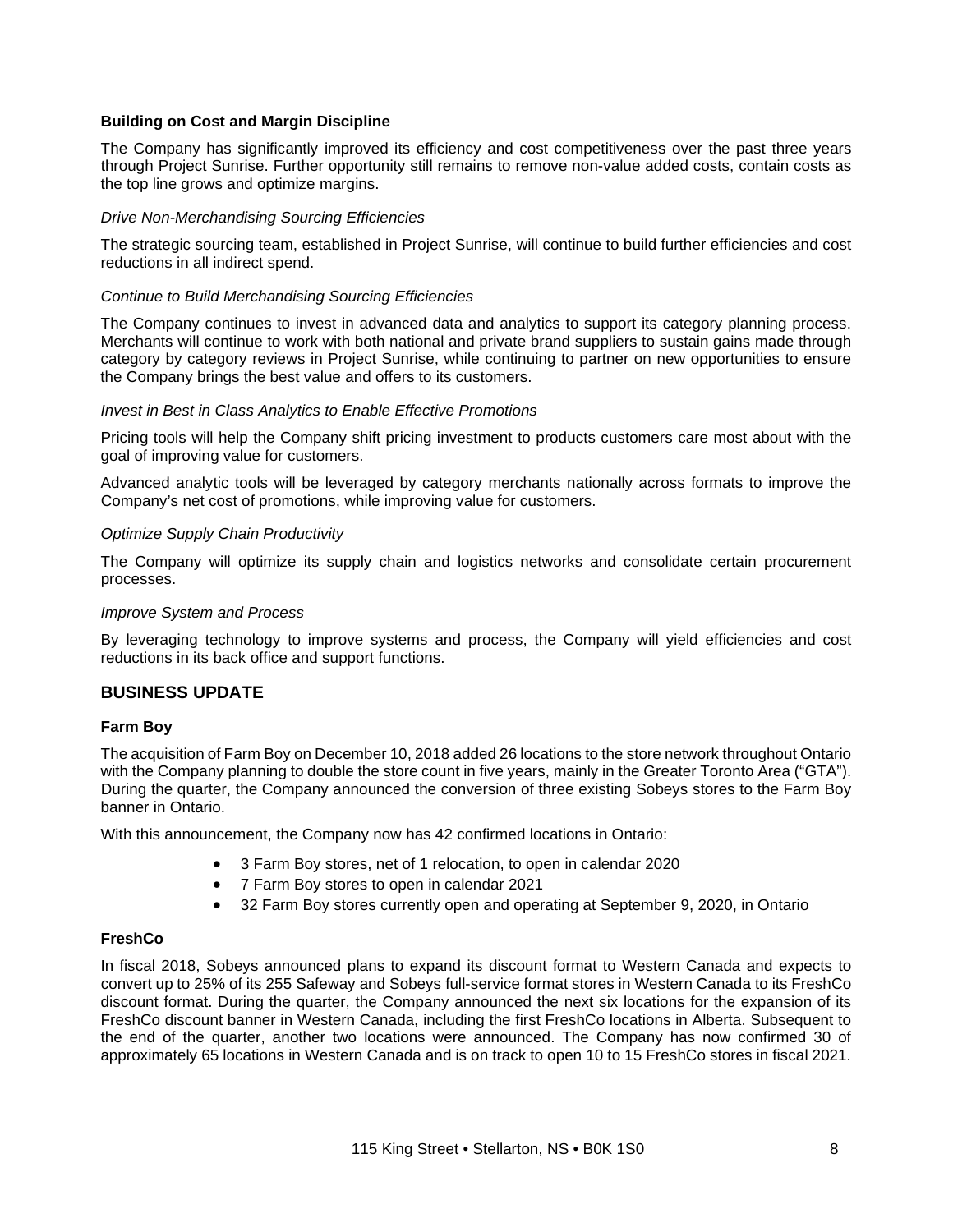### **Building on Cost and Margin Discipline**

The Company has significantly improved its efficiency and cost competitiveness over the past three years through Project Sunrise. Further opportunity still remains to remove non-value added costs, contain costs as the top line grows and optimize margins.

#### *Drive Non-Merchandising Sourcing Efficiencies*

The strategic sourcing team, established in Project Sunrise, will continue to build further efficiencies and cost reductions in all indirect spend.

#### *Continue to Build Merchandising Sourcing Efficiencies*

The Company continues to invest in advanced data and analytics to support its category planning process. Merchants will continue to work with both national and private brand suppliers to sustain gains made through category by category reviews in Project Sunrise, while continuing to partner on new opportunities to ensure the Company brings the best value and offers to its customers.

#### *Invest in Best in Class Analytics to Enable Effective Promotions*

Pricing tools will help the Company shift pricing investment to products customers care most about with the goal of improving value for customers.

Advanced analytic tools will be leveraged by category merchants nationally across formats to improve the Company's net cost of promotions, while improving value for customers.

#### *Optimize Supply Chain Productivity*

The Company will optimize its supply chain and logistics networks and consolidate certain procurement processes.

#### *Improve System and Process*

By leveraging technology to improve systems and process, the Company will yield efficiencies and cost reductions in its back office and support functions.

#### **BUSINESS UPDATE**

#### **Farm Boy**

The acquisition of Farm Boy on December 10, 2018 added 26 locations to the store network throughout Ontario with the Company planning to double the store count in five years, mainly in the Greater Toronto Area ("GTA"). During the quarter, the Company announced the conversion of three existing Sobeys stores to the Farm Boy banner in Ontario.

With this announcement, the Company now has 42 confirmed locations in Ontario:

- 3 Farm Boy stores, net of 1 relocation, to open in calendar 2020
- 7 Farm Boy stores to open in calendar 2021
- 32 Farm Boy stores currently open and operating at September 9, 2020, in Ontario

#### **FreshCo**

In fiscal 2018, Sobeys announced plans to expand its discount format to Western Canada and expects to convert up to 25% of its 255 Safeway and Sobeys full-service format stores in Western Canada to its FreshCo discount format. During the quarter, the Company announced the next six locations for the expansion of its FreshCo discount banner in Western Canada, including the first FreshCo locations in Alberta. Subsequent to the end of the quarter, another two locations were announced. The Company has now confirmed 30 of approximately 65 locations in Western Canada and is on track to open 10 to 15 FreshCo stores in fiscal 2021.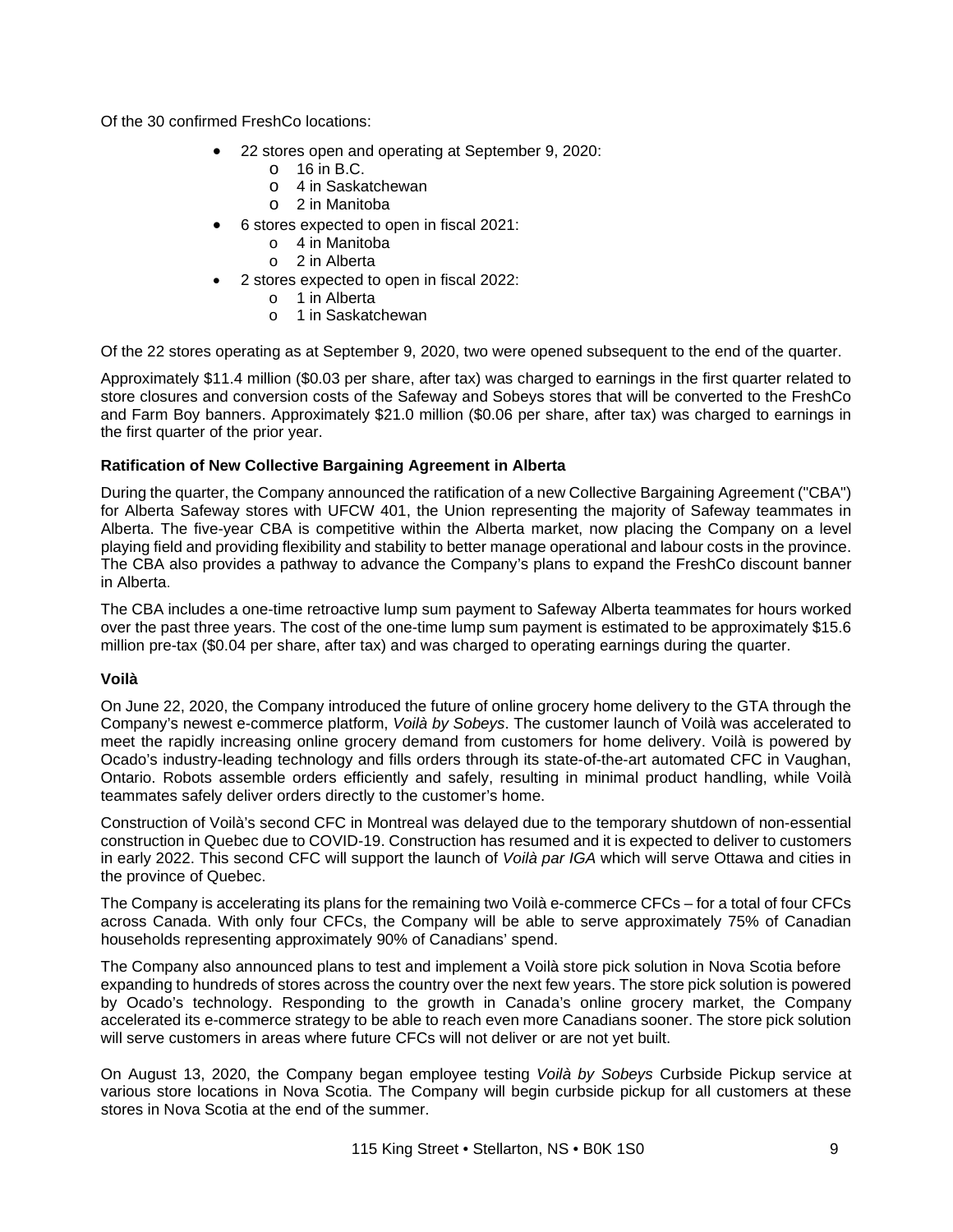Of the 30 confirmed FreshCo locations:

- 22 stores open and operating at September 9, 2020:
	- $\circ$  16 in B.C.
		- o 4 in Saskatchewan
		- o 2 in Manitoba
- 6 stores expected to open in fiscal 2021:
	- o 4 in Manitoba
	- o 2 in Alberta
- 2 stores expected to open in fiscal 2022:
	- o 1 in Alberta
	- o 1 in Saskatchewan

Of the 22 stores operating as at September 9, 2020, two were opened subsequent to the end of the quarter.

Approximately \$11.4 million (\$0.03 per share, after tax) was charged to earnings in the first quarter related to store closures and conversion costs of the Safeway and Sobeys stores that will be converted to the FreshCo and Farm Boy banners. Approximately \$21.0 million (\$0.06 per share, after tax) was charged to earnings in the first quarter of the prior year.

### **Ratification of New Collective Bargaining Agreement in Alberta**

During the quarter, the Company announced the ratification of a new Collective Bargaining Agreement ("CBA") for Alberta Safeway stores with UFCW 401, the Union representing the majority of Safeway teammates in Alberta. The five-year CBA is competitive within the Alberta market, now placing the Company on a level playing field and providing flexibility and stability to better manage operational and labour costs in the province. The CBA also provides a pathway to advance the Company's plans to expand the FreshCo discount banner in Alberta.

The CBA includes a one-time retroactive lump sum payment to Safeway Alberta teammates for hours worked over the past three years. The cost of the one-time lump sum payment is estimated to be approximately \$15.6 million pre-tax (\$0.04 per share, after tax) and was charged to operating earnings during the quarter.

## **Voilà**

On June 22, 2020, the Company introduced the future of online grocery home delivery to the GTA through the Company's newest e-commerce platform, *Voilà by Sobeys*. The customer launch of Voilà was accelerated to meet the rapidly increasing online grocery demand from customers for home delivery. Voilà is powered by Ocado's industry-leading technology and fills orders through its state-of-the-art automated CFC in Vaughan, Ontario. Robots assemble orders efficiently and safely, resulting in minimal product handling, while Voilà teammates safely deliver orders directly to the customer's home.

Construction of Voilà's second CFC in Montreal was delayed due to the temporary shutdown of non-essential construction in Quebec due to COVID-19. Construction has resumed and it is expected to deliver to customers in early 2022. This second CFC will support the launch of *Voilà par IGA* which will serve Ottawa and cities in the province of Quebec.

The Company is accelerating its plans for the remaining two Voilà e-commerce CFCs – for a total of four CFCs across Canada. With only four CFCs, the Company will be able to serve approximately 75% of Canadian households representing approximately 90% of Canadians' spend.

The Company also announced plans to test and implement a Voilà store pick solution in Nova Scotia before expanding to hundreds of stores across the country over the next few years. The store pick solution is powered by Ocado's technology. Responding to the growth in Canada's online grocery market, the Company accelerated its e-commerce strategy to be able to reach even more Canadians sooner. The store pick solution will serve customers in areas where future CFCs will not deliver or are not yet built.

On August 13, 2020, the Company began employee testing *Voilà by Sobeys* Curbside Pickup service at various store locations in Nova Scotia. The Company will begin curbside pickup for all customers at these stores in Nova Scotia at the end of the summer.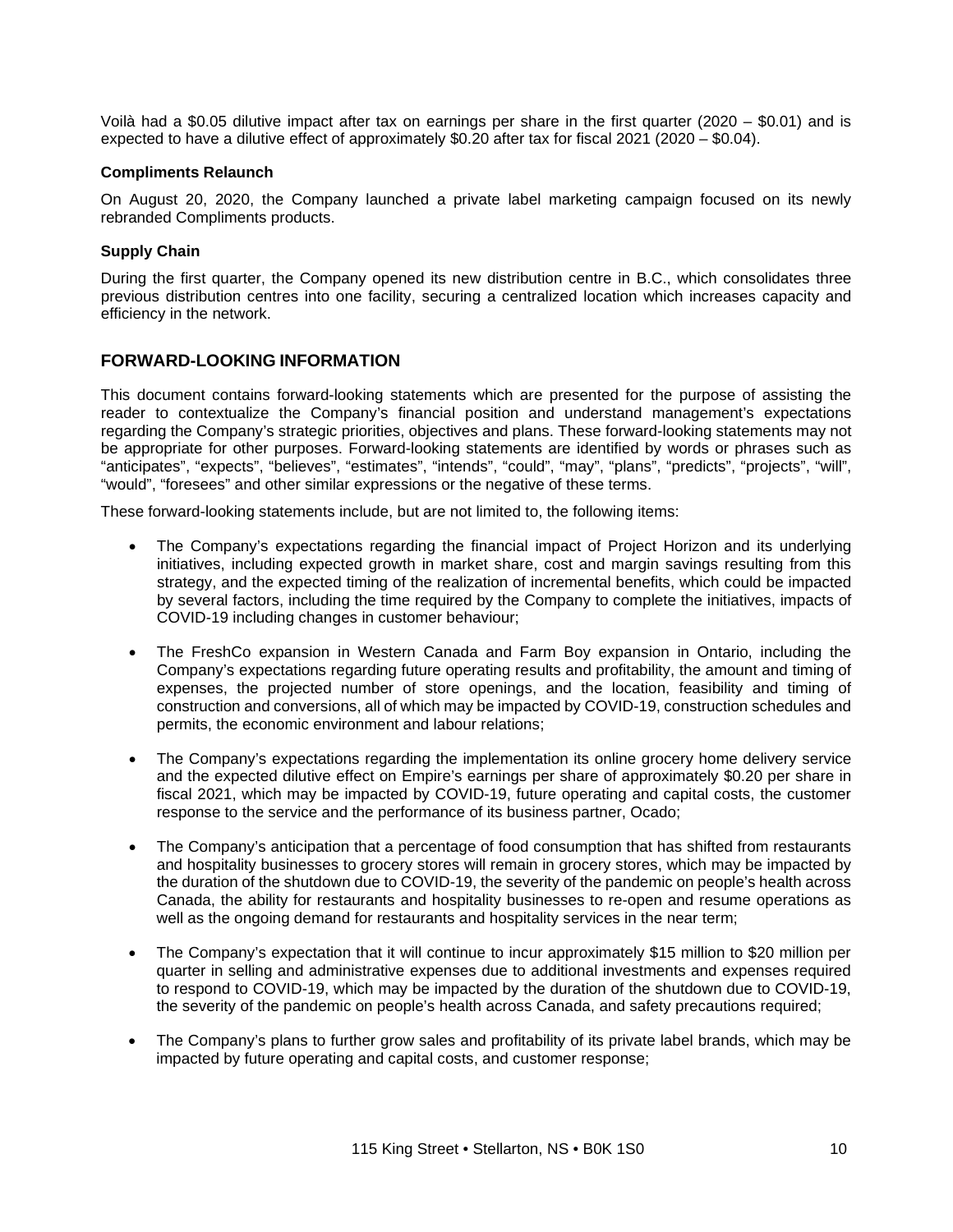Voilà had a \$0.05 dilutive impact after tax on earnings per share in the first quarter (2020 – \$0.01) and is expected to have a dilutive effect of approximately \$0.20 after tax for fiscal 2021 (2020 – \$0.04).

#### **Compliments Relaunch**

On August 20, 2020, the Company launched a private label marketing campaign focused on its newly rebranded Compliments products.

### **Supply Chain**

During the first quarter, the Company opened its new distribution centre in B.C., which consolidates three previous distribution centres into one facility, securing a centralized location which increases capacity and efficiency in the network.

# **FORWARD-LOOKING INFORMATION**

This document contains forward-looking statements which are presented for the purpose of assisting the reader to contextualize the Company's financial position and understand management's expectations regarding the Company's strategic priorities, objectives and plans. These forward-looking statements may not be appropriate for other purposes. Forward-looking statements are identified by words or phrases such as "anticipates", "expects", "believes", "estimates", "intends", "could", "may", "plans", "predicts", "projects", "will", "would", "foresees" and other similar expressions or the negative of these terms.

These forward-looking statements include, but are not limited to, the following items:

- The Company's expectations regarding the financial impact of Project Horizon and its underlying initiatives, including expected growth in market share, cost and margin savings resulting from this strategy, and the expected timing of the realization of incremental benefits, which could be impacted by several factors, including the time required by the Company to complete the initiatives, impacts of COVID-19 including changes in customer behaviour;
- The FreshCo expansion in Western Canada and Farm Boy expansion in Ontario, including the Company's expectations regarding future operating results and profitability, the amount and timing of expenses, the projected number of store openings, and the location, feasibility and timing of construction and conversions, all of which may be impacted by COVID-19, construction schedules and permits, the economic environment and labour relations;
- The Company's expectations regarding the implementation its online grocery home delivery service and the expected dilutive effect on Empire's earnings per share of approximately \$0.20 per share in fiscal 2021, which may be impacted by COVID-19, future operating and capital costs, the customer response to the service and the performance of its business partner, Ocado;
- The Company's anticipation that a percentage of food consumption that has shifted from restaurants and hospitality businesses to grocery stores will remain in grocery stores, which may be impacted by the duration of the shutdown due to COVID-19, the severity of the pandemic on people's health across Canada, the ability for restaurants and hospitality businesses to re-open and resume operations as well as the ongoing demand for restaurants and hospitality services in the near term;
- The Company's expectation that it will continue to incur approximately \$15 million to \$20 million per quarter in selling and administrative expenses due to additional investments and expenses required to respond to COVID-19, which may be impacted by the duration of the shutdown due to COVID-19, the severity of the pandemic on people's health across Canada, and safety precautions required;
- The Company's plans to further grow sales and profitability of its private label brands, which may be impacted by future operating and capital costs, and customer response;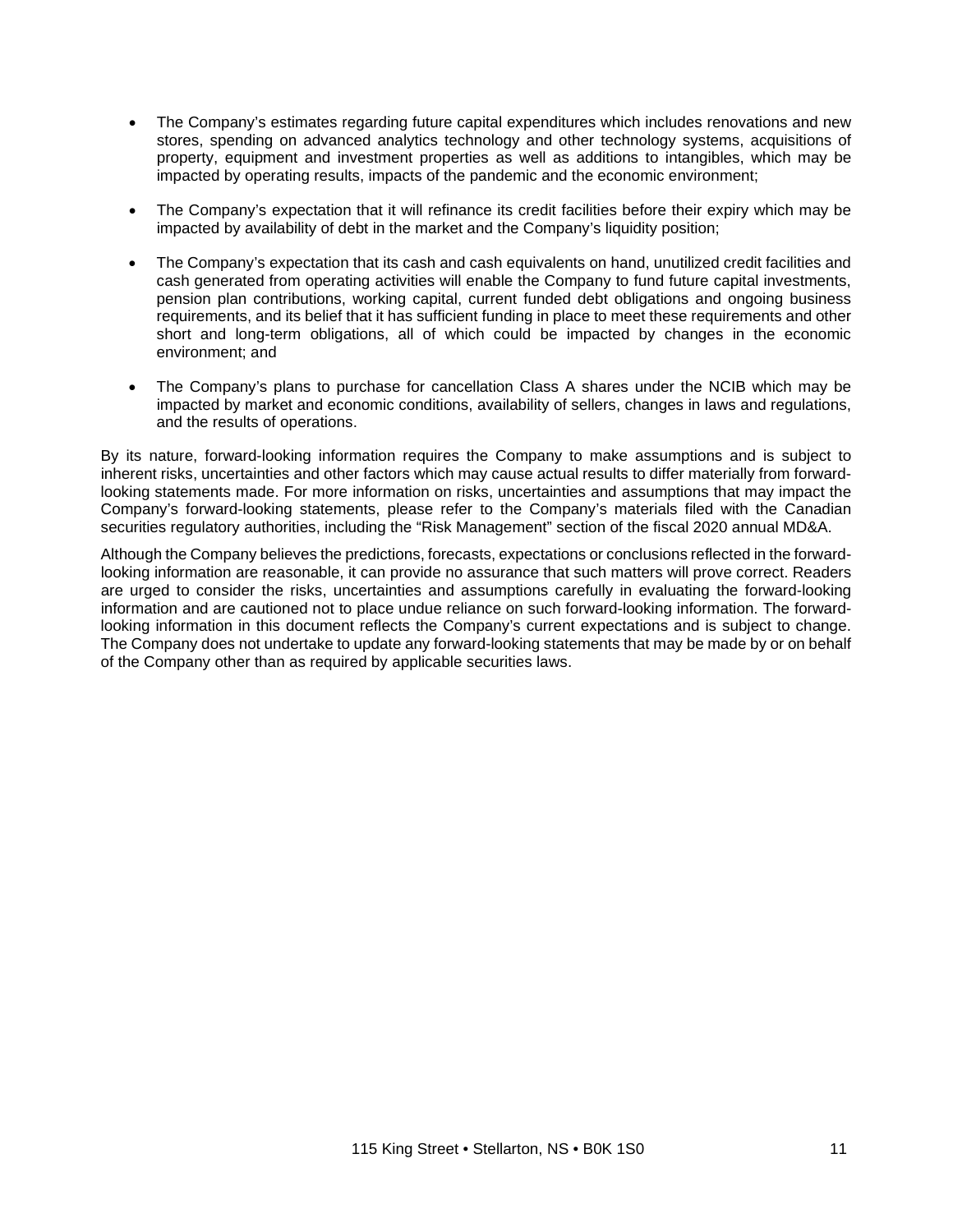- The Company's estimates regarding future capital expenditures which includes renovations and new stores, spending on advanced analytics technology and other technology systems, acquisitions of property, equipment and investment properties as well as additions to intangibles, which may be impacted by operating results, impacts of the pandemic and the economic environment;
- The Company's expectation that it will refinance its credit facilities before their expiry which may be impacted by availability of debt in the market and the Company's liquidity position;
- The Company's expectation that its cash and cash equivalents on hand, unutilized credit facilities and cash generated from operating activities will enable the Company to fund future capital investments, pension plan contributions, working capital, current funded debt obligations and ongoing business requirements, and its belief that it has sufficient funding in place to meet these requirements and other short and long-term obligations, all of which could be impacted by changes in the economic environment; and
- The Company's plans to purchase for cancellation Class A shares under the NCIB which may be impacted by market and economic conditions, availability of sellers, changes in laws and regulations, and the results of operations.

By its nature, forward-looking information requires the Company to make assumptions and is subject to inherent risks, uncertainties and other factors which may cause actual results to differ materially from forwardlooking statements made. For more information on risks, uncertainties and assumptions that may impact the Company's forward-looking statements, please refer to the Company's materials filed with the Canadian securities regulatory authorities, including the "Risk Management" section of the fiscal 2020 annual MD&A.

Although the Company believes the predictions, forecasts, expectations or conclusions reflected in the forwardlooking information are reasonable, it can provide no assurance that such matters will prove correct. Readers are urged to consider the risks, uncertainties and assumptions carefully in evaluating the forward-looking information and are cautioned not to place undue reliance on such forward-looking information. The forwardlooking information in this document reflects the Company's current expectations and is subject to change. The Company does not undertake to update any forward-looking statements that may be made by or on behalf of the Company other than as required by applicable securities laws.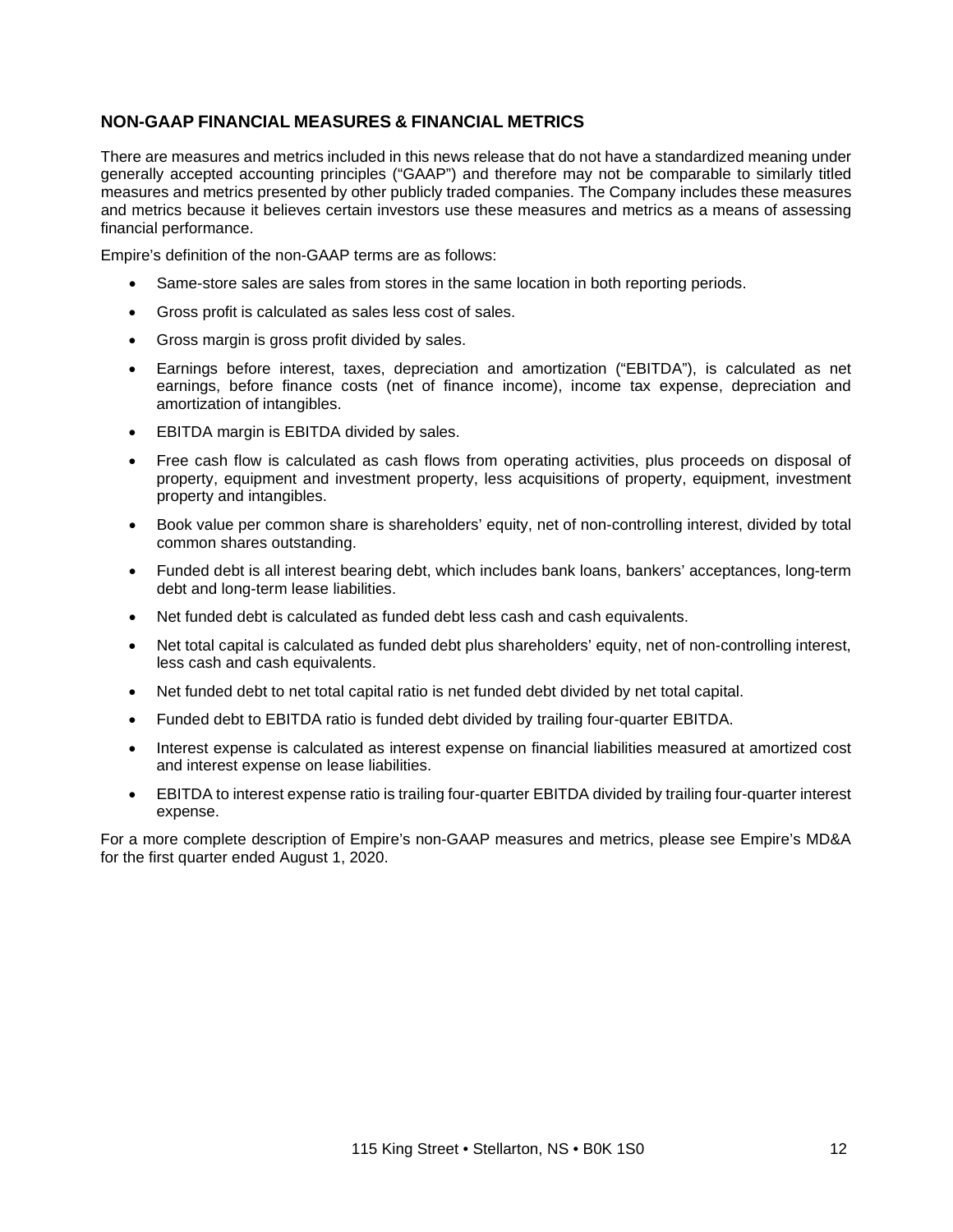# **NON-GAAP FINANCIAL MEASURES & FINANCIAL METRICS**

There are measures and metrics included in this news release that do not have a standardized meaning under generally accepted accounting principles ("GAAP") and therefore may not be comparable to similarly titled measures and metrics presented by other publicly traded companies. The Company includes these measures and metrics because it believes certain investors use these measures and metrics as a means of assessing financial performance.

Empire's definition of the non-GAAP terms are as follows:

- Same-store sales are sales from stores in the same location in both reporting periods.
- Gross profit is calculated as sales less cost of sales.
- Gross margin is gross profit divided by sales.
- Earnings before interest, taxes, depreciation and amortization ("EBITDA"), is calculated as net earnings, before finance costs (net of finance income), income tax expense, depreciation and amortization of intangibles.
- EBITDA margin is EBITDA divided by sales.
- Free cash flow is calculated as cash flows from operating activities, plus proceeds on disposal of property, equipment and investment property, less acquisitions of property, equipment, investment property and intangibles.
- Book value per common share is shareholders' equity, net of non-controlling interest, divided by total common shares outstanding.
- Funded debt is all interest bearing debt, which includes bank loans, bankers' acceptances, long-term debt and long-term lease liabilities.
- Net funded debt is calculated as funded debt less cash and cash equivalents.
- Net total capital is calculated as funded debt plus shareholders' equity, net of non-controlling interest, less cash and cash equivalents.
- Net funded debt to net total capital ratio is net funded debt divided by net total capital.
- Funded debt to EBITDA ratio is funded debt divided by trailing four-quarter EBITDA.
- Interest expense is calculated as interest expense on financial liabilities measured at amortized cost and interest expense on lease liabilities.
- EBITDA to interest expense ratio is trailing four-quarter EBITDA divided by trailing four-quarter interest expense.

For a more complete description of Empire's non-GAAP measures and metrics, please see Empire's MD&A for the first quarter ended August 1, 2020.